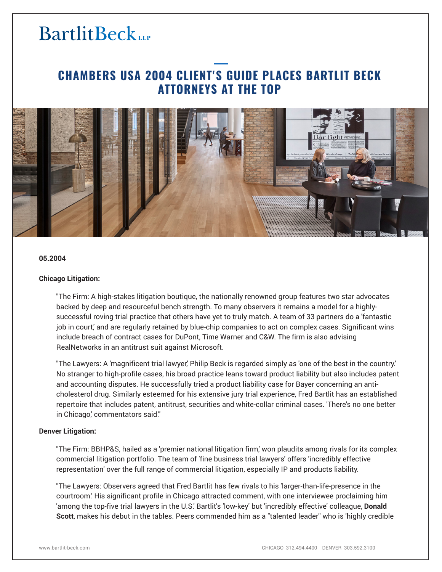# **BartlitBeck**

## **CHAMBERS USA 2004 CLIENT'S GUIDE PLACES BARTLIT BECK ATTORNEYS AT THE TOP**



#### **05.2004**

#### **Chicago Litigation:**

"The Firm: A high-stakes litigation boutique, the nationally renowned group features two star advocates backed by deep and resourceful bench strength. To many observers it remains a model for a highlysuccessful roving trial practice that others have yet to truly match. A team of 33 partners do a 'fantastic job in court,' and are regularly retained by blue-chip companies to act on complex cases. Significant wins include breach of contract cases for DuPont, Time Warner and C&W. The firm is also advising RealNetworks in an antitrust suit against Microsoft.

"The Lawyers: A 'magnificent trial lawyer,' Philip Beck is regarded simply as 'one of the best in the country.' No stranger to high-profile cases, his broad practice leans toward product liability but also includes patent and accounting disputes. He successfully tried a product liability case for Bayer concerning an anticholesterol drug. Similarly esteemed for his extensive jury trial experience, Fred Bartlit has an established repertoire that includes patent, antitrust, securities and white-collar criminal cases. 'There's no one better in Chicago, commentators said."

#### **Denver Litigation:**

"The Firm: BBHP&S, hailed as a 'premier national litigation firm,' won plaudits among rivals for its complex commercial litigation portfolio. The team of 'fine business trial lawyers' offers 'incredibly effective representation' over the full range of commercial litigation, especially IP and products liability.

"The Lawyers: Observers agreed that Fred Bartlit has few rivals to his 'larger-than-life-presence in the courtroom.' His significant profile in Chicago attracted comment, with one interviewee proclaiming him 'among the top-five trial lawyers in the U.S.' Bartlit's 'low-key' but 'incredibly effective' colleague, **Donald Scott**, makes his debut in the tables. Peers commended him as a "talented leader" who is 'highly credible